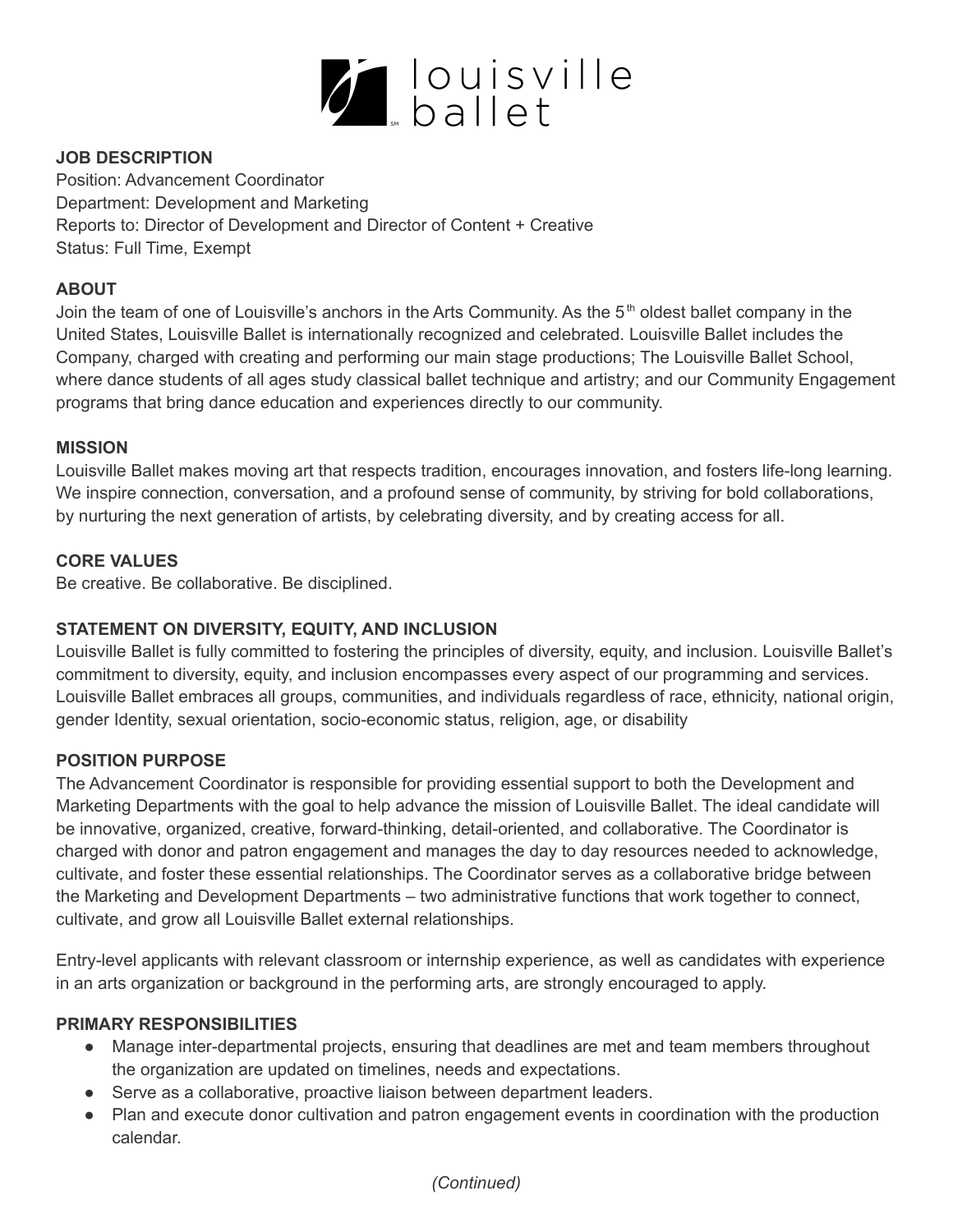

# **JOB DESCRIPTION**

Position: Advancement Coordinator Department: Development and Marketing Reports to: Director of Development and Director of Content + Creative Status: Full Time, Exempt

## **ABOUT**

Join the team of one of Louisville's anchors in the Arts Community. As the 5<sup>th</sup> oldest ballet company in the United States, Louisville Ballet is internationally recognized and celebrated. Louisville Ballet includes the Company, charged with creating and performing our main stage productions; The Louisville Ballet School, where dance students of all ages study classical ballet technique and artistry; and our Community Engagement programs that bring dance education and experiences directly to our community.

### **MISSION**

Louisville Ballet makes moving art that respects tradition, encourages innovation, and fosters life-long learning. We inspire connection, conversation, and a profound sense of community, by striving for bold collaborations, by nurturing the next generation of artists, by celebrating diversity, and by creating access for all.

## **CORE VALUES**

Be creative. Be collaborative. Be disciplined.

## **STATEMENT ON DIVERSITY, EQUITY, AND INCLUSION**

Louisville Ballet is fully committed to fostering the principles of diversity, equity, and inclusion. Louisville Ballet's commitment to diversity, equity, and inclusion encompasses every aspect of our programming and services. Louisville Ballet embraces all groups, communities, and individuals regardless of race, ethnicity, national origin, gender Identity, sexual orientation, socio-economic status, religion, age, or disability

## **POSITION PURPOSE**

The Advancement Coordinator is responsible for providing essential support to both the Development and Marketing Departments with the goal to help advance the mission of Louisville Ballet. The ideal candidate will be innovative, organized, creative, forward-thinking, detail-oriented, and collaborative. The Coordinator is charged with donor and patron engagement and manages the day to day resources needed to acknowledge, cultivate, and foster these essential relationships. The Coordinator serves as a collaborative bridge between the Marketing and Development Departments – two administrative functions that work together to connect, cultivate, and grow all Louisville Ballet external relationships.

Entry-level applicants with relevant classroom or internship experience, as well as candidates with experience in an arts organization or background in the performing arts, are strongly encouraged to apply.

#### **PRIMARY RESPONSIBILITIES**

- Manage inter-departmental projects, ensuring that deadlines are met and team members throughout the organization are updated on timelines, needs and expectations.
- Serve as a collaborative, proactive liaison between department leaders.
- Plan and execute donor cultivation and patron engagement events in coordination with the production calendar.

## *(Continued)*